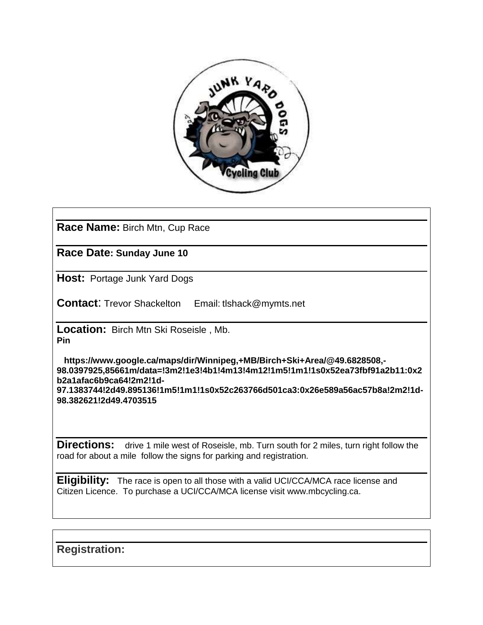

**Race Name:** Birch Mtn, Cup Race

**Race Date: Sunday June 10**

**Host: Portage Junk Yard Dogs** 

**Contact**: Trevor Shackelton Email: tlshack@mymts.net

**Location:** Birch Mtn Ski Roseisle , Mb. **Pin** 

 **https://www.google.ca/maps/dir/Winnipeg,+MB/Birch+Ski+Area/@49.6828508,- 98.0397925,85661m/data=!3m2!1e3!4b1!4m13!4m12!1m5!1m1!1s0x52ea73fbf91a2b11:0x2 b2a1afac6b9ca64!2m2!1d-97.1383744!2d49.895136!1m5!1m1!1s0x52c263766d501ca3:0x26e589a56ac57b8a!2m2!1d-98.382621!2d49.4703515**

**Directions:** drive 1 mile west of Roseisle, mb. Turn south for 2 miles, turn right follow the road for about a mile follow the signs for parking and registration.

**Eligibility:** The race is open to all those with a valid UCI/CCA/MCA race license and Citizen Licence. To purchase a UCI/CCA/MCA license visit www.mbcycling.ca.

**Registration:**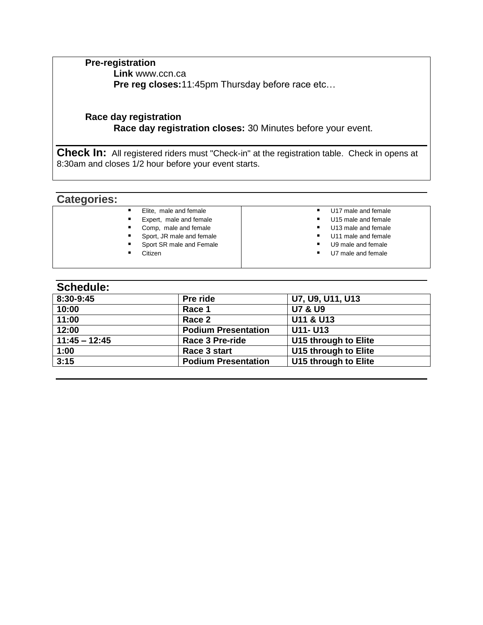**Pre-registration Link** www.ccn.ca **Pre reg closes:**11:45pm Thursday before race etc…

## **Race day registration Race day registration closes:** 30 Minutes before your event.

**Check In:** All registered riders must "Check-in" at the registration table. Check in opens at 8:30am and closes 1/2 hour before your event starts.

# **Categories:**

| Elite, male and female    | U17 male and female     |
|---------------------------|-------------------------|
| Expert, male and female   | U15 male and female     |
| Comp, male and female     | U13 male and female     |
| Sport, JR male and female | U11 male and female     |
| Sport SR male and Female  | U9 male and female<br>٠ |
| Citizen                   | U7 male and female      |
|                           |                         |
|                           |                         |

## **Schedule:**

| Pre ride                   | U7, U9, U11, U13     |
|----------------------------|----------------------|
| Race 1                     | <b>U7 &amp; U9</b>   |
| Race 2                     | U11 & U13            |
| <b>Podium Presentation</b> | <b>U11- U13</b>      |
| <b>Race 3 Pre-ride</b>     | U15 through to Elite |
| Race 3 start               | U15 through to Elite |
| <b>Podium Presentation</b> | U15 through to Elite |
|                            |                      |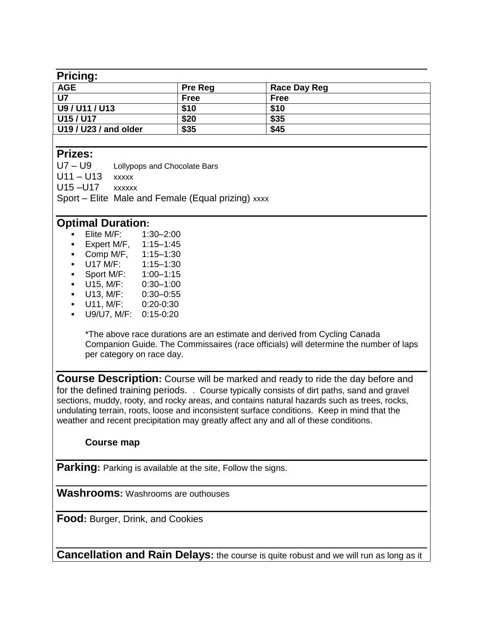#### **Pricing:**

| .                     |                |              |  |
|-----------------------|----------------|--------------|--|
| <b>AGE</b>            | <b>Pre Reg</b> | Race Day Reg |  |
| U7                    | <b>Free</b>    | <b>Free</b>  |  |
| U9 / U11 / U13        | \$10           | \$10         |  |
| U15 / U17             | \$20           | \$35         |  |
| U19 / U23 / and older | \$35           | \$45         |  |
|                       |                |              |  |

# **Prizes:**

U7 – U9 Lollypops and Chocolate Bars

 $U11 - U13$  xxxxx

U15 –U17 xxxxxx

Sport – Elite Male and Female (Equal prizing) xxxx

# **Optimal Duration:**

- **Elite M/F:** 1:30-2:00
- **Expert M/F, 1:15-1:45**
- Comp M/F, 1:15–1:30
- U17 M/F: 1:15–1:30
- Sport M/F: 1:00–1:15
- U15, M/F: 0:30–1:00
- U13, M/F: 0:30–0:55
- U11, M/F: 0:20-0:30
- U9/U7, M/F: 0:15-0:20

\*The above race durations are an estimate and derived from Cycling Canada Companion Guide. The Commissaires (race officials) will determine the number of laps per category on race day.

**Course Description:** Course will be marked and ready to ride the day before and for the defined training periods. . Course typically consists of dirt paths, sand and gravel sections, muddy, rooty, and rocky areas, and contains natural hazards such as trees, rocks, undulating terrain, roots, loose and inconsistent surface conditions. Keep in mind that the weather and recent precipitation may greatly affect any and all of these conditions.

## **Course map**

**Parking:** Parking is available at the site, Follow the signs.

**Washrooms:** Washrooms are outhouses

**Food:** Burger, Drink, and Cookies

**Cancellation and Rain Delays:** the course is quite robust and we will run as long as it